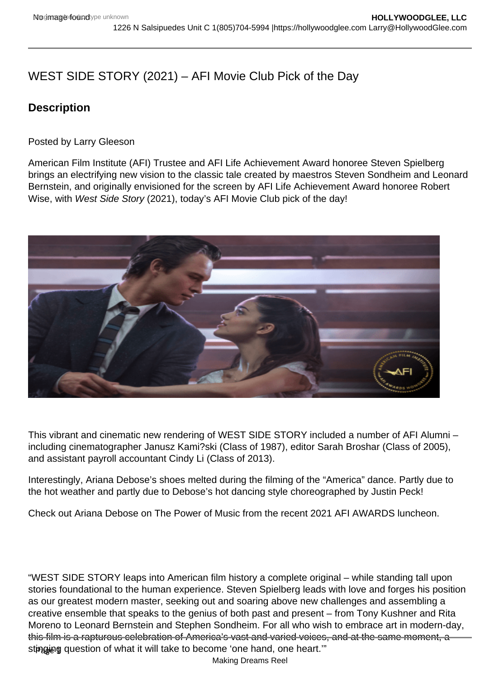# WEST SIDE STORY (2021) – AFI Movie Club Pick of the Day

# **Description**

Posted by Larry Gleeson

American Film Institute (AFI) Trustee and AFI Life Achievement Award honoree Steven Spielberg brings an electrifying new vision to the classic tale created by maestros Steven Sondheim and Leonard Bernstein, and originally envisioned for the screen by AFI Life Achievement Award honoree Robert Wise, with West Side Story (2021), today's AFI Movie Club pick of the day!

This vibrant and cinematic new rendering of WEST SIDE STORY included a number of AFI Alumni – including cinematographer Janusz Kami?ski (Class of 1987), editor Sarah Broshar (Class of 2005), and assistant payroll accountant Cindy Li (Class of 2013).

Interestingly, Ariana Debose's shoes melted during the filming of the "America" dance. Partly due to the hot weather and partly due to Debose's hot dancing style choreographed by Justin Peck!

Check out Ariana Debose on The Power of Music from the recent 2021 AFI AWARDS luncheon.

"WEST SIDE STORY leaps into American film history a complete original – while standing tall upon stories foundational to the human experience. Steven Spielberg leads with love and forges his position as our greatest modern master, seeking out and soaring above new challenges and assembling a creative ensemble that speaks to the genius of both past and present – from Tony Kushner and Rita Moreno to Leonard Bernstein and Stephen Sondheim. For all who wish to embrace art in modern-day, this film is a rapturous celebration of America's vast and varied voices, and at the same moment, a stingjog question of what it will take to become 'one hand, one heart.'"

Making Dreams Reel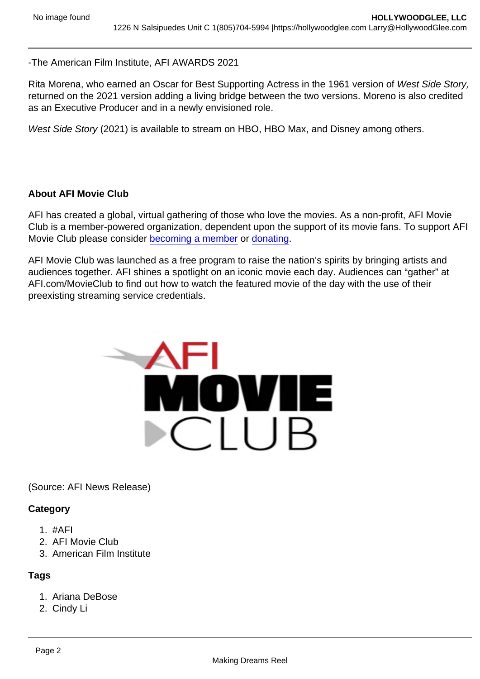### -The American Film Institute, AFI AWARDS 2021

Rita Morena, who earned an Oscar for Best Supporting Actress in the 1961 version of West Side Story, returned on the 2021 version adding a living bridge between the two versions. Moreno is also credited as an Executive Producer and in a newly envisioned role.

West Side Story (2021) is available to stream on HBO, HBO Max, and Disney among others.

#### About AFI Movie Club

AFI has created a global, virtual gathering of those who love the movies. As a non-profit, AFI Movie Club is a member-powered organization, dependent upon the support of its movie fans. To support AFI Movie Club please consider [becoming a member](https://www.afi.com/support/?Op=join) or [donating](https://www.afi.com/support/?Op=donate).

AFI Movie Club was launched as a free program to raise the nation's spirits by bringing artists and audiences together. AFI shines a spotlight on an iconic movie each day. Audiences can "gather" at AFI.com/MovieClub to find out how to watch the featured movie of the day with the use of their preexisting streaming service credentials.

#### (Source: AFI News Release)

**Category** 

- 1. #AFI
- 2. AFI Movie Club
- 3. American Film Institute

# Tags

- 1. Ariana DeBose
- 2. Cindy Li